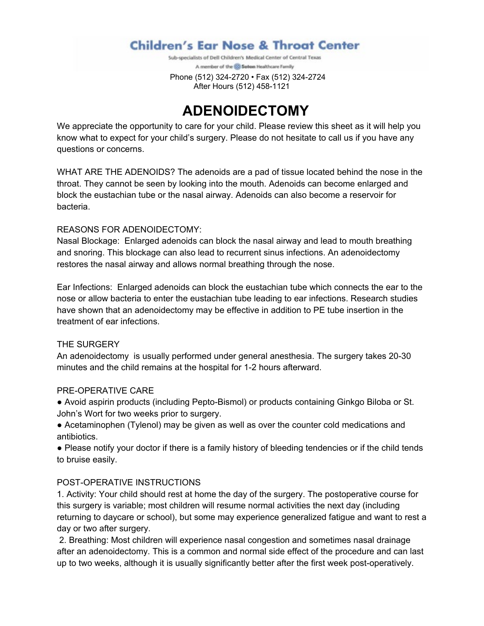## **Children's Ear Nose & Throat Center**

Sub-specialists of Dell Children's Medical Center of Central Texas A member of the @ Selion Healthcare Family

 Phone (512) 324-2720 • Fax (512) 324-2724 After Hours (512) 458-1121

# **ADENOIDECTOMY**

We appreciate the opportunity to care for your child. Please review this sheet as it will help you know what to expect for your child's surgery. Please do not hesitate to call us if you have any questions or concerns.

WHAT ARE THE ADENOIDS? The adenoids are a pad of tissue located behind the nose in the throat. They cannot be seen by looking into the mouth. Adenoids can become enlarged and block the eustachian tube or the nasal airway. Adenoids can also become a reservoir for bacteria.

#### REASONS FOR ADENOIDECTOMY:

Nasal Blockage: Enlarged adenoids can block the nasal airway and lead to mouth breathing and snoring. This blockage can also lead to recurrent sinus infections. An adenoidectomy restores the nasal airway and allows normal breathing through the nose.

Ear Infections: Enlarged adenoids can block the eustachian tube which connects the ear to the nose or allow bacteria to enter the eustachian tube leading to ear infections. Research studies have shown that an adenoidectomy may be effective in addition to PE tube insertion in the treatment of ear infections.

#### THE SURGERY

An adenoidectomy is usually performed under general anesthesia. The surgery takes 20-30 minutes and the child remains at the hospital for 1-2 hours afterward.

#### PRE-OPERATIVE CARE

- Avoid aspirin products (including Pepto-Bismol) or products containing Ginkgo Biloba or St. John's Wort for two weeks prior to surgery.
- Acetaminophen (Tylenol) may be given as well as over the counter cold medications and antibiotics.

● Please notify your doctor if there is a family history of bleeding tendencies or if the child tends to bruise easily.

### POST-OPERATIVE INSTRUCTIONS

1. Activity: Your child should rest at home the day of the surgery. The postoperative course for this surgery is variable; most children will resume normal activities the next day (including returning to daycare or school), but some may experience generalized fatigue and want to rest a day or two after surgery.

2. Breathing: Most children will experience nasal congestion and sometimes nasal drainage after an adenoidectomy. This is a common and normal side effect of the procedure and can last up to two weeks, although it is usually significantly better after the first week post-operatively.